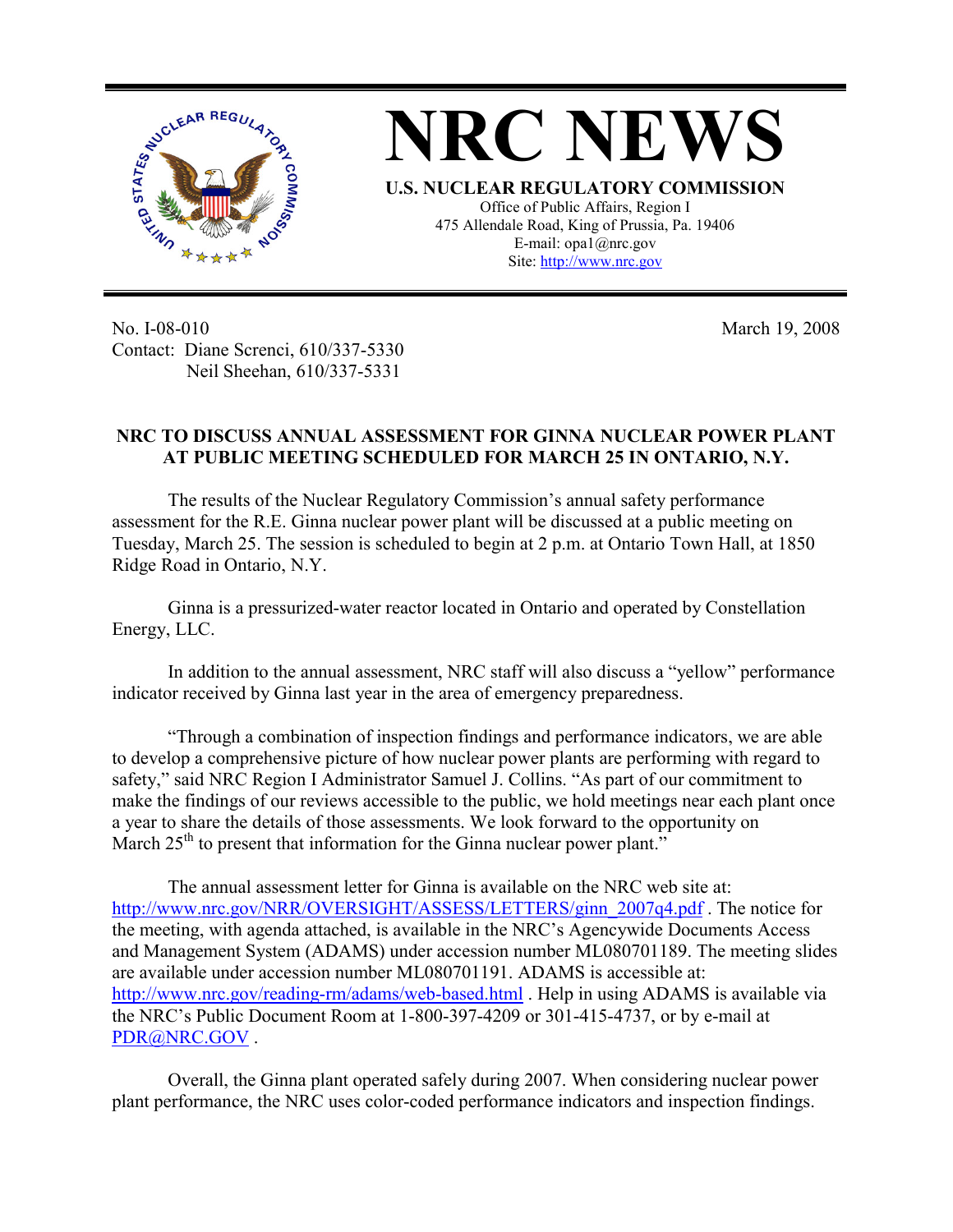

March 19, 2008

No. I-08-010 Contact: Diane Screnci, 610/337-5330 Neil Sheehan, 610/337-5331

## **NRC TO DISCUSS ANNUAL ASSESSMENT FOR GINNA NUCLEAR POWER PLANT AT PUBLIC MEETING SCHEDULED FOR MARCH 25 IN ONTARIO, N.Y.**

The results of the Nuclear Regulatory Commission's annual safety performance assessment for the R.E. Ginna nuclear power plant will be discussed at a public meeting on Tuesday, March 25. The session is scheduled to begin at 2 p.m. at Ontario Town Hall, at 1850 Ridge Road in Ontario, N.Y.

Ginna is a pressurized-water reactor located in Ontario and operated by Constellation Energy, LLC.

In addition to the annual assessment, NRC staff will also discuss a "yellow" performance indicator received by Ginna last year in the area of emergency preparedness.

"Through a combination of inspection findings and performance indicators, we are able to develop a comprehensive picture of how nuclear power plants are performing with regard to safety," said NRC Region I Administrator Samuel J. Collins. "As part of our commitment to make the findings of our reviews accessible to the public, we hold meetings near each plant once a year to share the details of those assessments. We look forward to the opportunity on March  $25<sup>th</sup>$  to present that information for the Ginna nuclear power plant."

The annual assessment letter for Ginna is available on the NRC web site at: http://www.nrc.gov/NRR/OVERSIGHT/ASSESS/LETTERS/ginn\_2007q4.pdf. The notice for the meeting, with agenda attached, is available in the NRC's Agencywide Documents Access and Management System (ADAMS) under accession number ML080701189. The meeting slides are available under accession number ML080701191. ADAMS is accessible at: http://www.nrc.gov/reading-rm/adams/web-based.html . Help in using ADAMS is available via the NRC's Public Document Room at 1-800-397-4209 or 301-415-4737, or by e-mail at PDR@NRC.GOV .

Overall, the Ginna plant operated safely during 2007. When considering nuclear power plant performance, the NRC uses color-coded performance indicators and inspection findings.